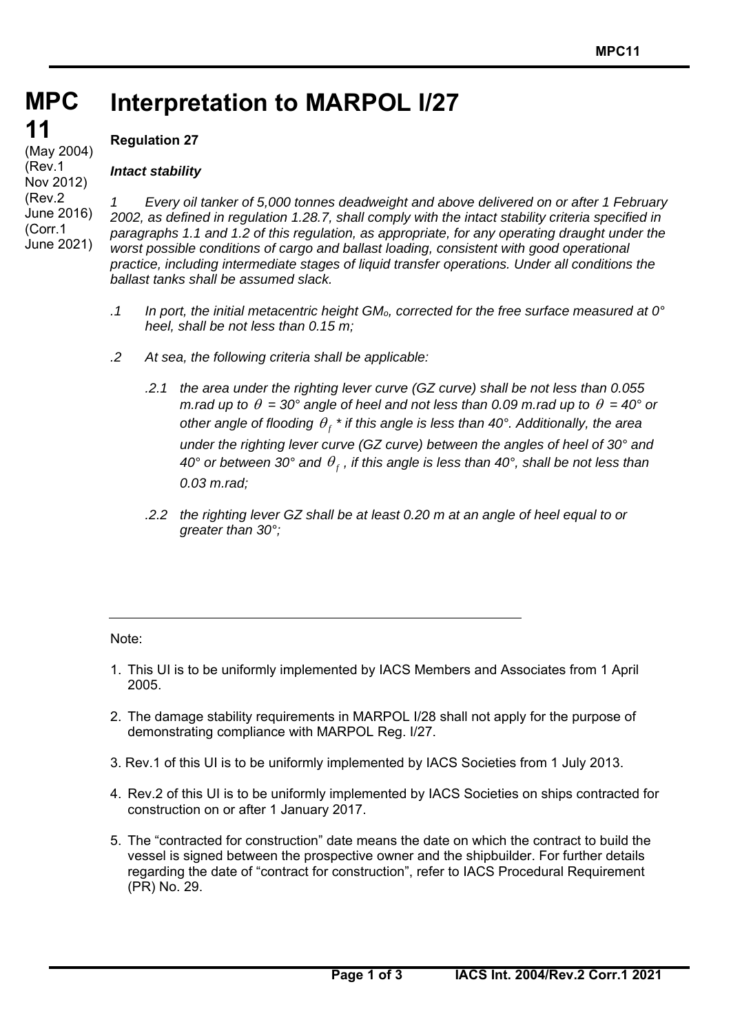### **MPC MPC Interpretation to MARPOL I/27**

# **11 11**

(May 2004) (Rev.1 Nov 2012) (Rev.2 June 2016) (Corr.1 June 2021)

## **Regulation 27**

## *Intact stability*

*1 Every oil tanker of 5,000 tonnes deadweight and above delivered on or after 1 February 2002, as defined in regulation 1.28.7, shall comply with the intact stability criteria specified in paragraphs 1.1 and 1.2 of this regulation, as appropriate, for any operating draught under the worst possible conditions of cargo and ballast loading, consistent with good operational practice, including intermediate stages of liquid transfer operations. Under all conditions the ballast tanks shall be assumed slack.* 

- *.1 In port, the initial metacentric height GMo, corrected for the free surface measured at 0° heel, shall be not less than 0.15 m;*
- *.2 At sea, the following criteria shall be applicable:* 
	- *.2.1 the area under the righting lever curve (GZ curve) shall be not less than 0.055 m.rad up to*  $\theta = 30^{\circ}$  *angle of heel and not less than 0.09 m.rad up to*  $\theta = 40^{\circ}$  *or other angle of flooding*  $\theta_f$ *<sup>\*</sup> if this angle is less than 40°. Additionally, the area under the righting lever curve (GZ curve) between the angles of heel of 30° and*   $40^{\circ}$  or between 30° and  $\theta_{\rm r}$ , if this angle is less than 40°, shall be not less than *0.03 m.rad;*
	- *.2.2 the righting lever GZ shall be at least 0.20 m at an angle of heel equal to or greater than 30°;*

Note:

 $\overline{a}$ 

- 1. This UI is to be uniformly implemented by IACS Members and Associates from 1 April 2005.
- 2. The damage stability requirements in MARPOL I/28 shall not apply for the purpose of demonstrating compliance with MARPOL Reg. I/27.
- 3. Rev.1 of this UI is to be uniformly implemented by IACS Societies from 1 July 2013.
- 4. Rev.2 of this UI is to be uniformly implemented by IACS Societies on ships contracted for construction on or after 1 January 2017.
- 5. The "contracted for construction" date means the date on which the contract to build the vessel is signed between the prospective owner and the shipbuilder. For further details regarding the date of "contract for construction", refer to IACS Procedural Requirement (PR) No. 29.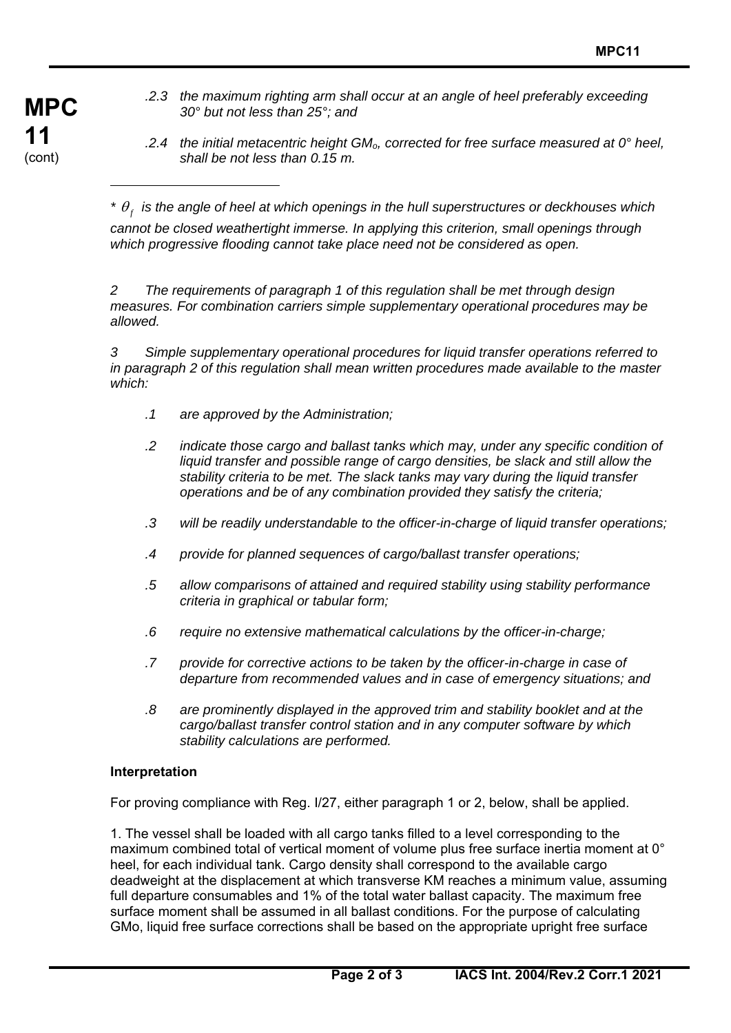- **MPC 11** (cont)
- *.2.3 the maximum righting arm shall occur at an angle of heel preferably exceeding 30° but not less than 25°; and*
- *.2.4 the initial metacentric height GMo, corrected for free surface measured at 0° heel, shall be not less than 0.15 m.*

*\* <sup>f</sup> is the angle of heel at which openings in the hull superstructures or deckhouses which* 

*cannot be closed weathertight immerse. In applying this criterion, small openings through which progressive flooding cannot take place need not be considered as open.* 

*2 The requirements of paragraph 1 of this regulation shall be met through design measures. For combination carriers simple supplementary operational procedures may be allowed.* 

*3 Simple supplementary operational procedures for liquid transfer operations referred to in paragraph 2 of this regulation shall mean written procedures made available to the master which:* 

- *.1 are approved by the Administration;*
- *.2 indicate those cargo and ballast tanks which may, under any specific condition of*  liquid transfer and possible range of cargo densities, be slack and still allow the *stability criteria to be met. The slack tanks may vary during the liquid transfer operations and be of any combination provided they satisfy the criteria;*
- *.3 will be readily understandable to the officer-in-charge of liquid transfer operations;*
- *.4 provide for planned sequences of cargo/ballast transfer operations;*
- *.5 allow comparisons of attained and required stability using stability performance criteria in graphical or tabular form;*
- *.6 require no extensive mathematical calculations by the officer-in-charge;*
- *.7 provide for corrective actions to be taken by the officer-in-charge in case of departure from recommended values and in case of emergency situations; and*
- *.8 are prominently displayed in the approved trim and stability booklet and at the cargo/ballast transfer control station and in any computer software by which stability calculations are performed.*

#### **Interpretation**

 $\overline{a}$ 

For proving compliance with Reg. I/27, either paragraph 1 or 2, below, shall be applied.

1. The vessel shall be loaded with all cargo tanks filled to a level corresponding to the maximum combined total of vertical moment of volume plus free surface inertia moment at 0° heel, for each individual tank. Cargo density shall correspond to the available cargo deadweight at the displacement at which transverse KM reaches a minimum value, assuming full departure consumables and 1% of the total water ballast capacity. The maximum free surface moment shall be assumed in all ballast conditions. For the purpose of calculating GMo, liquid free surface corrections shall be based on the appropriate upright free surface